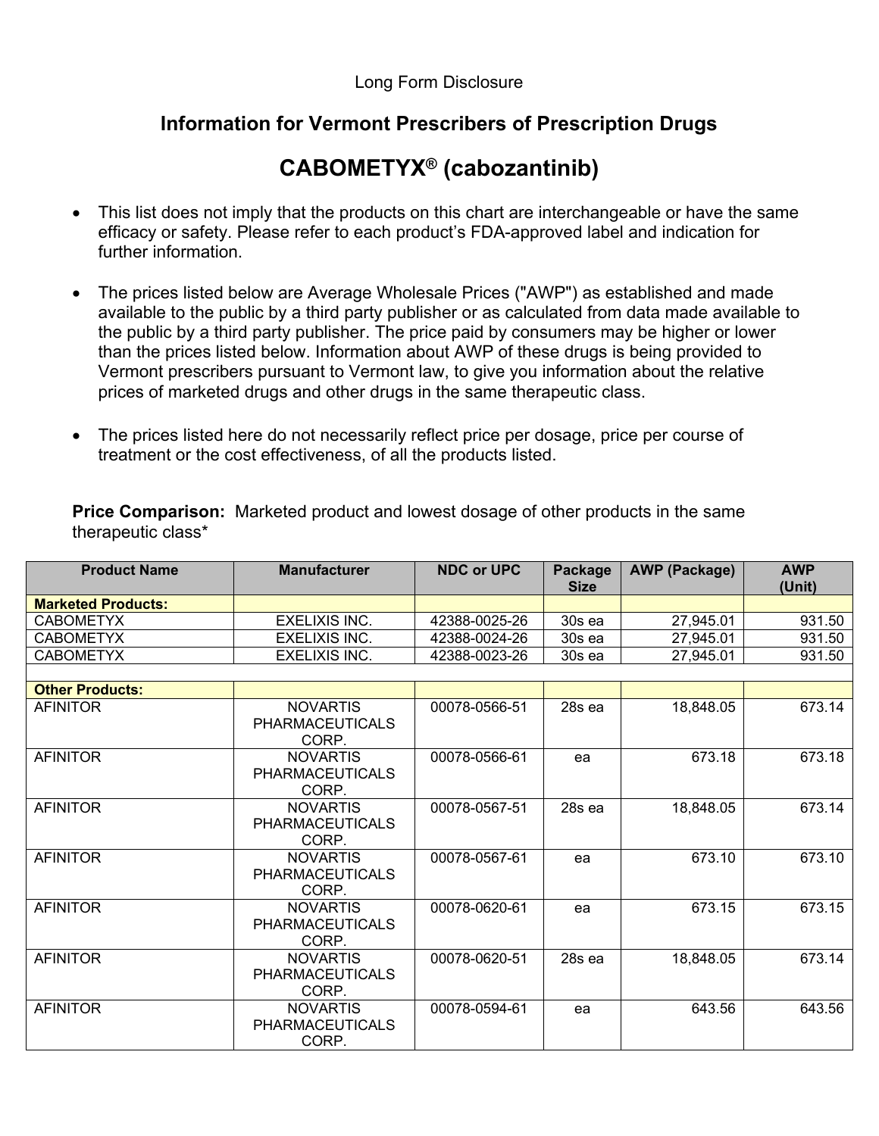## **Information for Vermont Prescribers of Prescription Drugs**

## **CABOMETYX® (cabozantinib)**

- This list does not imply that the products on this chart are interchangeable or have the same efficacy or safety. Please refer to each product's FDA-approved label and indication for further information.
- The prices listed below are Average Wholesale Prices ("AWP") as established and made available to the public by a third party publisher or as calculated from data made available to the public by a third party publisher. The price paid by consumers may be higher or lower than the prices listed below. Information about AWP of these drugs is being provided to Vermont prescribers pursuant to Vermont law, to give you information about the relative prices of marketed drugs and other drugs in the same therapeutic class.
- The prices listed here do not necessarily reflect price per dosage, price per course of treatment or the cost effectiveness, of all the products listed.

**Price Comparison:** Marketed product and lowest dosage of other products in the same therapeutic class\*

| <b>Product Name</b>       | <b>Manufacturer</b>                                | <b>NDC or UPC</b> | <b>Package</b><br><b>Size</b> | <b>AWP (Package)</b> | <b>AWP</b><br>(Unit) |
|---------------------------|----------------------------------------------------|-------------------|-------------------------------|----------------------|----------------------|
| <b>Marketed Products:</b> |                                                    |                   |                               |                      |                      |
| <b>CABOMETYX</b>          | <b>EXELIXIS INC.</b>                               | 42388-0025-26     | 30s ea                        | 27,945.01            | 931.50               |
| <b>CABOMETYX</b>          | <b>EXELIXIS INC.</b>                               | 42388-0024-26     | $30s$ ea                      | 27,945.01            | 931.50               |
| <b>CABOMETYX</b>          | <b>EXELIXIS INC.</b>                               | 42388-0023-26     | 30s ea                        | 27,945.01            | 931.50               |
|                           |                                                    |                   |                               |                      |                      |
| <b>Other Products:</b>    |                                                    |                   |                               |                      |                      |
| <b>AFINITOR</b>           | <b>NOVARTIS</b><br><b>PHARMACEUTICALS</b><br>CORP. | 00078-0566-51     | 28s ea                        | 18,848.05            | 673.14               |
| <b>AFINITOR</b>           | <b>NOVARTIS</b><br><b>PHARMACEUTICALS</b><br>CORP. | 00078-0566-61     | ea                            | 673.18               | 673.18               |
| <b>AFINITOR</b>           | <b>NOVARTIS</b><br><b>PHARMACEUTICALS</b><br>CORP. | 00078-0567-51     | 28s ea                        | 18,848.05            | 673.14               |
| <b>AFINITOR</b>           | <b>NOVARTIS</b><br><b>PHARMACEUTICALS</b><br>CORP. | 00078-0567-61     | ea                            | 673.10               | 673.10               |
| <b>AFINITOR</b>           | <b>NOVARTIS</b><br><b>PHARMACEUTICALS</b><br>CORP. | 00078-0620-61     | ea                            | 673.15               | 673.15               |
| <b>AFINITOR</b>           | <b>NOVARTIS</b><br><b>PHARMACEUTICALS</b><br>CORP. | 00078-0620-51     | 28s ea                        | 18,848.05            | 673.14               |
| <b>AFINITOR</b>           | <b>NOVARTIS</b><br><b>PHARMACEUTICALS</b><br>CORP. | 00078-0594-61     | ea                            | 643.56               | 643.56               |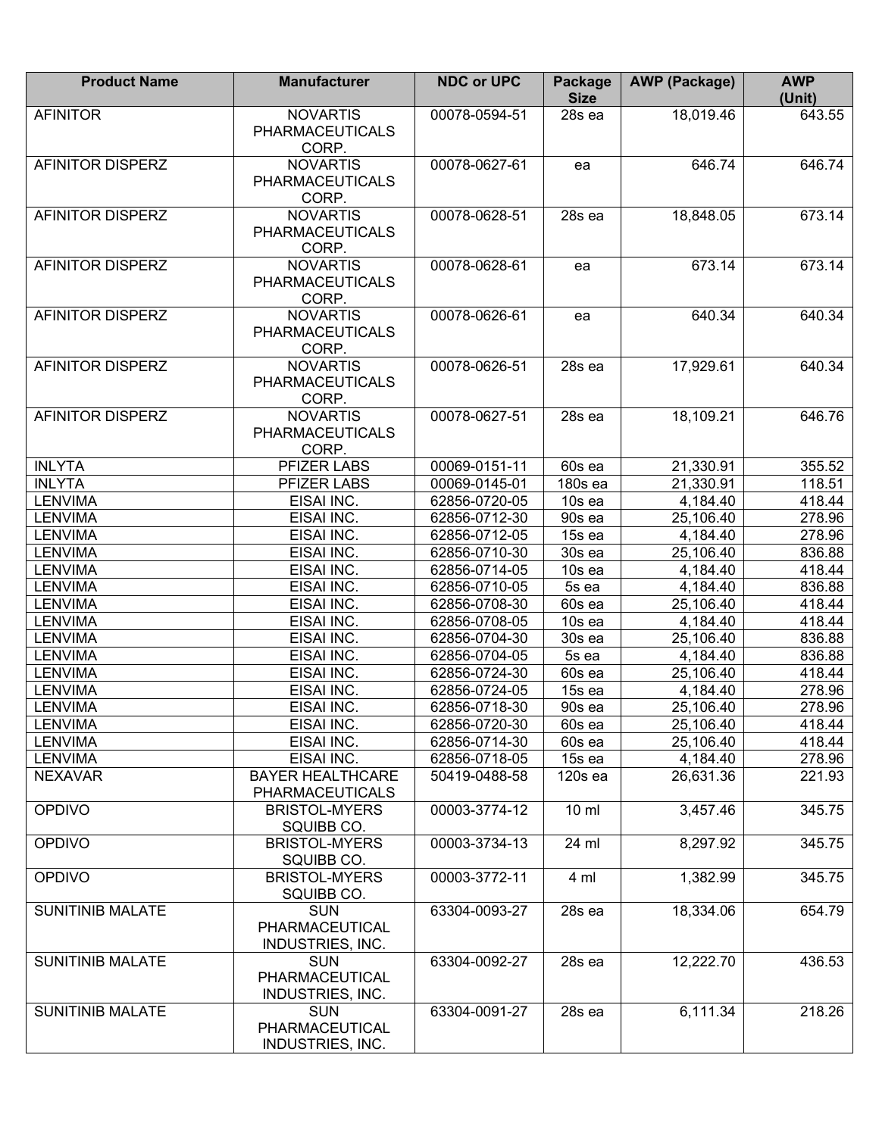| <b>Product Name</b>     | <b>Manufacturer</b>                                     | <b>NDC or UPC</b> | Package<br><b>Size</b> | <b>AWP (Package)</b> | <b>AWP</b><br>(Unit) |
|-------------------------|---------------------------------------------------------|-------------------|------------------------|----------------------|----------------------|
| <b>AFINITOR</b>         | <b>NOVARTIS</b><br><b>PHARMACEUTICALS</b><br>CORP.      | 00078-0594-51     | 28s ea                 | 18,019.46            | 643.55               |
| AFINITOR DISPERZ        | <b>NOVARTIS</b><br><b>PHARMACEUTICALS</b><br>CORP.      | 00078-0627-61     | ea                     | 646.74               | 646.74               |
| AFINITOR DISPERZ        | <b>NOVARTIS</b><br><b>PHARMACEUTICALS</b><br>CORP.      | 00078-0628-51     | 28s ea                 | 18,848.05            | 673.14               |
| AFINITOR DISPERZ        | <b>NOVARTIS</b><br><b>PHARMACEUTICALS</b><br>CORP.      | 00078-0628-61     | ea                     | 673.14               | 673.14               |
| <b>AFINITOR DISPERZ</b> | <b>NOVARTIS</b><br><b>PHARMACEUTICALS</b><br>CORP.      | 00078-0626-61     | ea                     | 640.34               | 640.34               |
| <b>AFINITOR DISPERZ</b> | <b>NOVARTIS</b><br><b>PHARMACEUTICALS</b><br>CORP.      | 00078-0626-51     | 28s ea                 | 17,929.61            | 640.34               |
| <b>AFINITOR DISPERZ</b> | <b>NOVARTIS</b><br><b>PHARMACEUTICALS</b><br>CORP.      | 00078-0627-51     | 28s ea                 | 18,109.21            | 646.76               |
| <b>INLYTA</b>           | PFIZER LABS                                             | 00069-0151-11     | 60s ea                 | 21,330.91            | 355.52               |
| <b>INLYTA</b>           | PFIZER LABS                                             | 00069-0145-01     | 180s ea                | 21,330.91            | 118.51               |
| <b>LENVIMA</b>          | EISAI INC.                                              | 62856-0720-05     | 10s ea                 | 4,184.40             | 418.44               |
| <b>LENVIMA</b>          | EISAI INC.                                              | 62856-0712-30     | 90s ea                 | 25,106.40            | 278.96               |
| <b>LENVIMA</b>          | EISAI INC.                                              | 62856-0712-05     | 15s ea                 | 4,184.40             | 278.96               |
| <b>LENVIMA</b>          | EISAI INC.                                              | 62856-0710-30     | 30s ea                 | 25,106.40            | 836.88               |
| <b>LENVIMA</b>          | EISAI INC.                                              | 62856-0714-05     | 10s ea                 | 4,184.40             | 418.44               |
| <b>LENVIMA</b>          | EISAI INC.                                              | 62856-0710-05     | 5s ea                  | 4,184.40             | 836.88               |
| <b>LENVIMA</b>          | EISAI INC.                                              | 62856-0708-30     | 60s ea                 | 25,106.40            | 418.44               |
| <b>LENVIMA</b>          | EISAI INC.                                              | 62856-0708-05     | 10s ea                 | 4,184.40             | 418.44               |
| <b>LENVIMA</b>          | EISAI INC.                                              | 62856-0704-30     | 30s ea                 | 25,106.40            | 836.88               |
| <b>LENVIMA</b>          | EISAI INC.                                              | 62856-0704-05     | 5s ea                  | 4,184.40             | 836.88               |
| <b>LENVIMA</b>          | EISAI INC.                                              | 62856-0724-30     | 60s ea                 | 25,106.40            | 418.44               |
| <b>LENVIMA</b>          | EISAI INC.                                              | 62856-0724-05     | 15s ea                 | 4,184.40             | 278.96               |
| <b>LENVIMA</b>          | EISAI INC.                                              | 62856-0718-30     | 90s ea                 | 25,106.40            | 278.96               |
| <b>LENVIMA</b>          | EISAI INC.                                              | 62856-0720-30     | 60s ea                 | 25,106.40            | 418.44               |
| <b>LENVIMA</b>          | EISAI INC.                                              | 62856-0714-30     | 60s ea                 | 25,106.40            | 418.44               |
| <b>LENVIMA</b>          | EISAI INC.                                              | 62856-0718-05     | 15s ea                 | 4,184.40             | 278.96               |
| <b>NEXAVAR</b>          | <b>BAYER HEALTHCARE</b><br><b>PHARMACEUTICALS</b>       | 50419-0488-58     | $120s$ ea              | 26,631.36            | 221.93               |
| <b>OPDIVO</b>           | <b>BRISTOL-MYERS</b><br>SQUIBB CO.                      | 00003-3774-12     | $10 \text{ ml}$        | 3,457.46             | 345.75               |
| OPDIVO                  | <b>BRISTOL-MYERS</b><br>SQUIBB CO.                      | 00003-3734-13     | 24 ml                  | 8,297.92             | 345.75               |
| <b>OPDIVO</b>           | <b>BRISTOL-MYERS</b><br>SQUIBB CO.                      | 00003-3772-11     | 4 ml                   | 1,382.99             | 345.75               |
| <b>SUNITINIB MALATE</b> | <b>SUN</b><br>PHARMACEUTICAL<br><b>INDUSTRIES, INC.</b> | 63304-0093-27     | 28s ea                 | 18,334.06            | 654.79               |
| <b>SUNITINIB MALATE</b> | <b>SUN</b><br>PHARMACEUTICAL<br><b>INDUSTRIES, INC.</b> | 63304-0092-27     | 28s ea                 | 12,222.70            | 436.53               |
| <b>SUNITINIB MALATE</b> | <b>SUN</b><br>PHARMACEUTICAL<br>INDUSTRIES, INC.        | 63304-0091-27     | 28s ea                 | 6,111.34             | 218.26               |